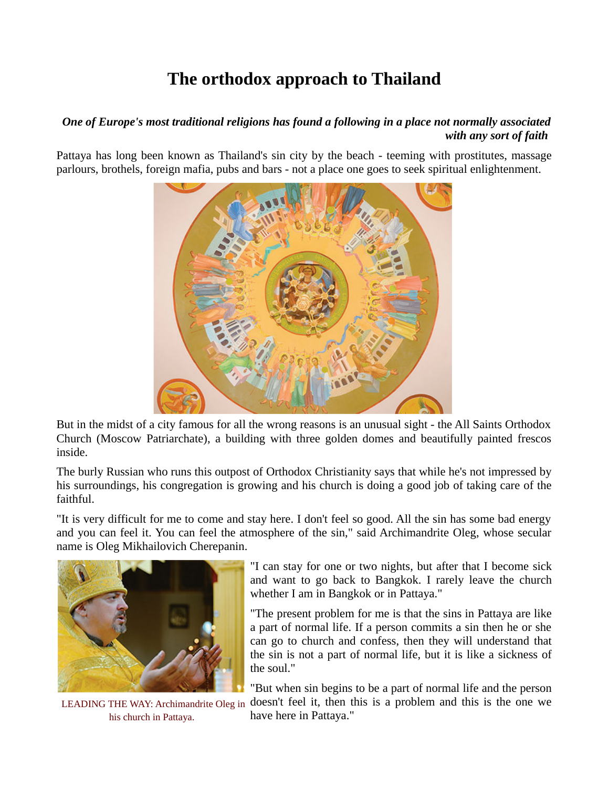## **The orthodox approach to Thailand**

## *One of Europe's most traditional religions has found a following in a place not normally associated with any sort of faith*

Pattaya has long been known as Thailand's sin city by the beach - teeming with prostitutes, massage parlours, brothels, foreign mafia, pubs and bars - not a place one goes to seek spiritual enlightenment.



But in the midst of a city famous for all the wrong reasons is an unusual sight - the All Saints Orthodox Church (Moscow Patriarchate), a building with three golden domes and beautifully painted frescos inside.

The burly Russian who runs this outpost of Orthodox Christianity says that while he's not impressed by his surroundings, his congregation is growing and his church is doing a good job of taking care of the faithful.

"It is very difficult for me to come and stay here. I don't feel so good. All the sin has some bad energy and you can feel it. You can feel the atmosphere of the sin," said Archimandrite Oleg, whose secular name is Oleg Mikhailovich Cherepanin.



LEADING THE WAY: Archimandrite Oleg in his church in Pattaya.

"I can stay for one or two nights, but after that I become sick and want to go back to Bangkok. I rarely leave the church whether I am in Bangkok or in Pattaya."

"The present problem for me is that the sins in Pattaya are like a part of normal life. If a person commits a sin then he or she can go to church and confess, then they will understand that the sin is not a part of normal life, but it is like a sickness of the soul."

"But when sin begins to be a part of normal life and the person doesn't feel it, then this is a problem and this is the one we have here in Pattaya."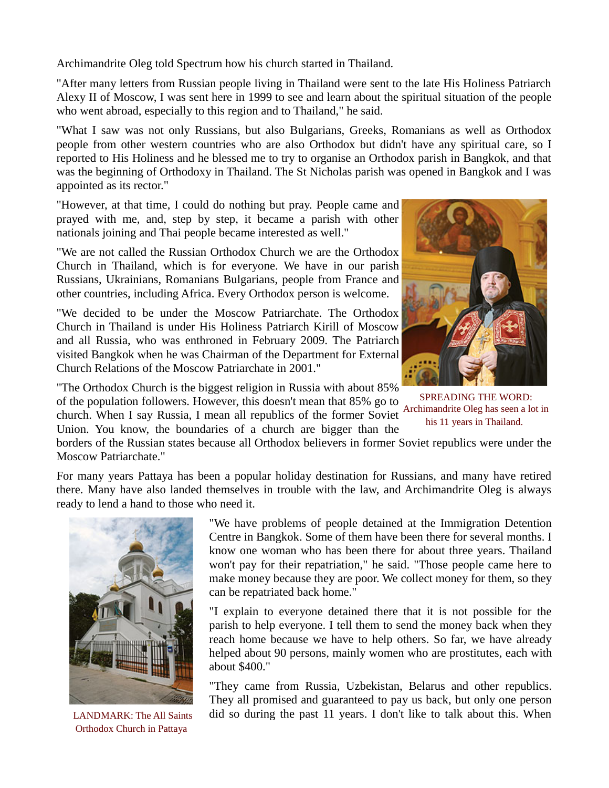Archimandrite Oleg told Spectrum how his church started in Thailand.

"After many letters from Russian people living in Thailand were sent to the late His Holiness Patriarch Alexy II of Moscow, I was sent here in 1999 to see and learn about the spiritual situation of the people who went abroad, especially to this region and to Thailand," he said.

"What I saw was not only Russians, but also Bulgarians, Greeks, Romanians as well as Orthodox people from other western countries who are also Orthodox but didn't have any spiritual care, so I reported to His Holiness and he blessed me to try to organise an Orthodox parish in Bangkok, and that was the beginning of Orthodoxy in Thailand. The St Nicholas parish was opened in Bangkok and I was appointed as its rector."

"However, at that time, I could do nothing but pray. People came and prayed with me, and, step by step, it became a parish with other nationals joining and Thai people became interested as well."

"We are not called the Russian Orthodox Church we are the Orthodox Church in Thailand, which is for everyone. We have in our parish Russians, Ukrainians, Romanians Bulgarians, people from France and other countries, including Africa. Every Orthodox person is welcome.

"We decided to be under the Moscow Patriarchate. The Orthodox Church in Thailand is under His Holiness Patriarch Kirill of Moscow and all Russia, who was enthroned in February 2009. The Patriarch visited Bangkok when he was Chairman of the Department for External Church Relations of the Moscow Patriarchate in 2001."

"The Orthodox Church is the biggest religion in Russia with about 85% of the population followers. However, this doesn't mean that 85% go to church. When I say Russia, I mean all republics of the former Soviet Union. You know, the boundaries of a church are bigger than the



SPREADING THE WORD: Archimandrite Oleg has seen a lot in his 11 years in Thailand.

borders of the Russian states because all Orthodox believers in former Soviet republics were under the Moscow Patriarchate."

For many years Pattaya has been a popular holiday destination for Russians, and many have retired there. Many have also landed themselves in trouble with the law, and Archimandrite Oleg is always ready to lend a hand to those who need it.



LANDMARK: The All Saints Orthodox Church in Pattaya

"We have problems of people detained at the Immigration Detention Centre in Bangkok. Some of them have been there for several months. I know one woman who has been there for about three years. Thailand won't pay for their repatriation," he said. "Those people came here to make money because they are poor. We collect money for them, so they can be repatriated back home."

"I explain to everyone detained there that it is not possible for the parish to help everyone. I tell them to send the money back when they reach home because we have to help others. So far, we have already helped about 90 persons, mainly women who are prostitutes, each with about \$400."

"They came from Russia, Uzbekistan, Belarus and other republics. They all promised and guaranteed to pay us back, but only one person did so during the past 11 years. I don't like to talk about this. When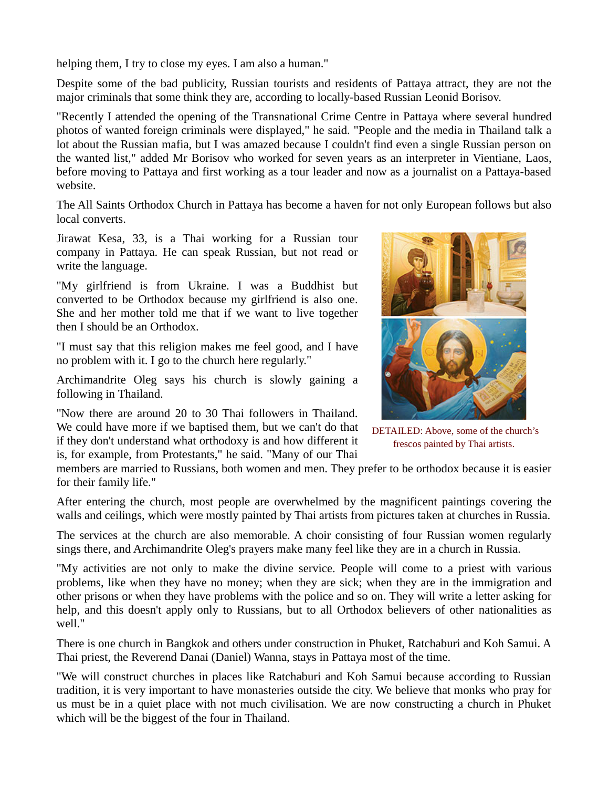helping them, I try to close my eyes. I am also a human."

Despite some of the bad publicity, Russian tourists and residents of Pattaya attract, they are not the major criminals that some think they are, according to locally-based Russian Leonid Borisov.

"Recently I attended the opening of the Transnational Crime Centre in Pattaya where several hundred photos of wanted foreign criminals were displayed," he said. "People and the media in Thailand talk a lot about the Russian mafia, but I was amazed because I couldn't find even a single Russian person on the wanted list," added Mr Borisov who worked for seven years as an interpreter in Vientiane, Laos, before moving to Pattaya and first working as a tour leader and now as a journalist on a Pattaya-based website.

The All Saints Orthodox Church in Pattaya has become a haven for not only European follows but also local converts.

Jirawat Kesa, 33, is a Thai working for a Russian tour company in Pattaya. He can speak Russian, but not read or write the language.

"My girlfriend is from Ukraine. I was a Buddhist but converted to be Orthodox because my girlfriend is also one. She and her mother told me that if we want to live together then I should be an Orthodox.

"I must say that this religion makes me feel good, and I have no problem with it. I go to the church here regularly."

Archimandrite Oleg says his church is slowly gaining a following in Thailand.

"Now there are around 20 to 30 Thai followers in Thailand. We could have more if we baptised them, but we can't do that if they don't understand what orthodoxy is and how different it is, for example, from Protestants," he said. "Many of our Thai



DETAILED: Above, some of the church's frescos painted by Thai artists.

members are married to Russians, both women and men. They prefer to be orthodox because it is easier for their family life."

After entering the church, most people are overwhelmed by the magnificent paintings covering the walls and ceilings, which were mostly painted by Thai artists from pictures taken at churches in Russia.

The services at the church are also memorable. A choir consisting of four Russian women regularly sings there, and Archimandrite Oleg's prayers make many feel like they are in a church in Russia.

"My activities are not only to make the divine service. People will come to a priest with various problems, like when they have no money; when they are sick; when they are in the immigration and other prisons or when they have problems with the police and so on. They will write a letter asking for help, and this doesn't apply only to Russians, but to all Orthodox believers of other nationalities as well."

There is one church in Bangkok and others under construction in Phuket, Ratchaburi and Koh Samui. A Thai priest, the Reverend Danai (Daniel) Wanna, stays in Pattaya most of the time.

"We will construct churches in places like Ratchaburi and Koh Samui because according to Russian tradition, it is very important to have monasteries outside the city. We believe that monks who pray for us must be in a quiet place with not much civilisation. We are now constructing a church in Phuket which will be the biggest of the four in Thailand.